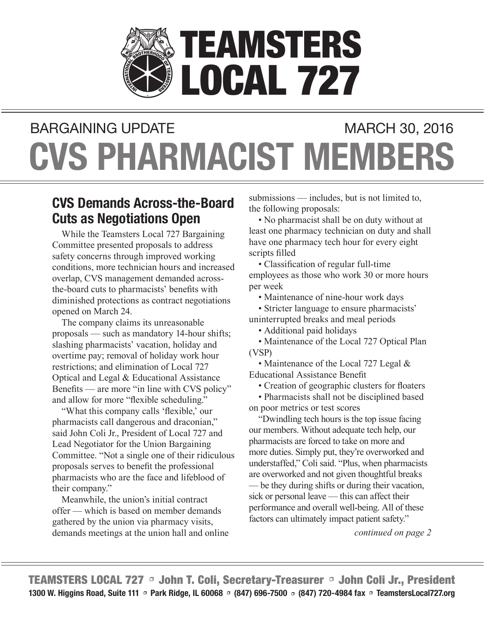

# **CVS PHARMACIST MEMBERS** BARGAINING UPDATE MARCH 30, 2016

### **CVS Demands Across-the-Board Cuts as Negotiations Open**

While the Teamsters Local 727 Bargaining Committee presented proposals to address safety concerns through improved working conditions, more technician hours and increased overlap, CVS management demanded acrossthe-board cuts to pharmacists' benefits with diminished protections as contract negotiations opened on March 24.

The company claims its unreasonable proposals — such as mandatory 14-hour shifts; slashing pharmacists' vacation, holiday and overtime pay; removal of holiday work hour restrictions; and elimination of Local 727 Optical and Legal & Educational Assistance Benefits — are more "in line with CVS policy" and allow for more "flexible scheduling."

"What this company calls 'flexible,' our pharmacists call dangerous and draconian," said John Coli Jr., President of Local 727 and Lead Negotiator for the Union Bargaining Committee. "Not a single one of their ridiculous proposals serves to benefit the professional pharmacists who are the face and lifeblood of their company."

Meanwhile, the union's initial contract offer — which is based on member demands gathered by the union via pharmacy visits, demands meetings at the union hall and online submissions — includes, but is not limited to, the following proposals:

• No pharmacist shall be on duty without at least one pharmacy technician on duty and shall have one pharmacy tech hour for every eight scripts filled

• Classification of regular full-time employees as those who work 30 or more hours per week

• Maintenance of nine-hour work days

• Stricter language to ensure pharmacists' uninterrupted breaks and meal periods

• Additional paid holidays

• Maintenance of the Local 727 Optical Plan (VSP)

• Maintenance of the Local 727 Legal & Educational Assistance Benefit

• Creation of geographic clusters for floaters

• Pharmacists shall not be disciplined based on poor metrics or test scores

"Dwindling tech hours is the top issue facing our members. Without adequate tech help, our pharmacists are forced to take on more and more duties. Simply put, they're overworked and understaffed," Coli said. "Plus, when pharmacists are overworked and not given thoughtful breaks — be they during shifts or during their vacation, sick or personal leave — this can affect their performance and overall well-being. All of these factors can ultimately impact patient safety."

*continued on page 2*